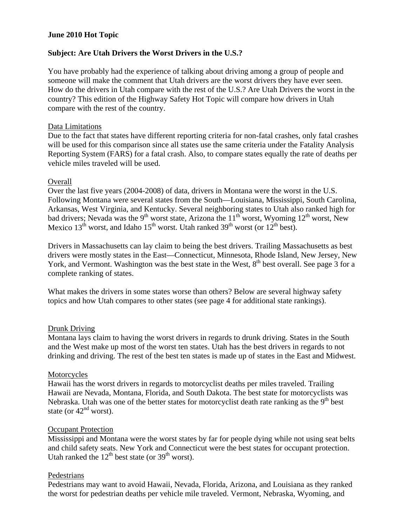# **June 2010 Hot Topic**

# **Subject: Are Utah Drivers the Worst Drivers in the U.S.?**

You have probably had the experience of talking about driving among a group of people and someone will make the comment that Utah drivers are the worst drivers they have ever seen. How do the drivers in Utah compare with the rest of the U.S.? Are Utah Drivers the worst in the country? This edition of the Highway Safety Hot Topic will compare how drivers in Utah compare with the rest of the country.

### Data Limitations

Due to the fact that states have different reporting criteria for non-fatal crashes, only fatal crashes will be used for this comparison since all states use the same criteria under the Fatality Analysis Reporting System (FARS) for a fatal crash. Also, to compare states equally the rate of deaths per vehicle miles traveled will be used.

### Overall

Over the last five years (2004-2008) of data, drivers in Montana were the worst in the U.S. Following Montana were several states from the South—Louisiana, Mississippi, South Carolina, Arkansas, West Virginia, and Kentucky. Several neighboring states to Utah also ranked high for bad drivers; Nevada was the 9<sup>th</sup> worst state, Arizona the 11<sup>th</sup> worst, Wyoming 12<sup>th</sup> worst, New Mexico  $13^{th}$  worst, and Idaho  $15^{th}$  worst. Utah ranked  $39^{th}$  worst (or  $12^{th}$  best).

Drivers in Massachusetts can lay claim to being the best drivers. Trailing Massachusetts as best drivers were mostly states in the East—Connecticut, Minnesota, Rhode Island, New Jersey, New York, and Vermont. Washington was the best state in the West, 8<sup>th</sup> best overall. See page 3 for a complete ranking of states.

What makes the drivers in some states worse than others? Below are several highway safety topics and how Utah compares to other states (see page 4 for additional state rankings).

## Drunk Driving

Montana lays claim to having the worst drivers in regards to drunk driving. States in the South and the West make up most of the worst ten states. Utah has the best drivers in regards to not drinking and driving. The rest of the best ten states is made up of states in the East and Midwest.

#### **Motorcycles**

Hawaii has the worst drivers in regards to motorcyclist deaths per miles traveled. Trailing Hawaii are Nevada, Montana, Florida, and South Dakota. The best state for motorcyclists was Nebraska. Utah was one of the better states for motorcyclist death rate ranking as the 9<sup>th</sup> best state (or  $42<sup>nd</sup>$  worst).

## Occupant Protection

Mississippi and Montana were the worst states by far for people dying while not using seat belts and child safety seats. New York and Connecticut were the best states for occupant protection. Utah ranked the  $12^{th}$  best state (or  $39^{th}$  worst).

## Pedestrians

Pedestrians may want to avoid Hawaii, Nevada, Florida, Arizona, and Louisiana as they ranked the worst for pedestrian deaths per vehicle mile traveled. Vermont, Nebraska, Wyoming, and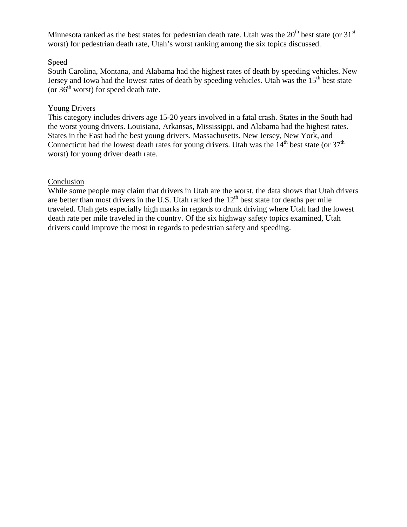Minnesota ranked as the best states for pedestrian death rate. Utah was the  $20<sup>th</sup>$  best state (or 31 $<sup>st</sup>$ </sup> worst) for pedestrian death rate, Utah's worst ranking among the six topics discussed.

## Speed

South Carolina, Montana, and Alabama had the highest rates of death by speeding vehicles. New Jersey and Iowa had the lowest rates of death by speeding vehicles. Utah was the  $15<sup>th</sup>$  best state (or  $36<sup>th</sup>$  worst) for speed death rate.

# Young Drivers

This category includes drivers age 15-20 years involved in a fatal crash. States in the South had the worst young drivers. Louisiana, Arkansas, Mississippi, and Alabama had the highest rates. States in the East had the best young drivers. Massachusetts, New Jersey, New York, and Connecticut had the lowest death rates for young drivers. Utah was the  $14<sup>th</sup>$  best state (or  $37<sup>th</sup>$ worst) for young driver death rate.

### Conclusion

While some people may claim that drivers in Utah are the worst, the data shows that Utah drivers are better than most drivers in the U.S. Utah ranked the  $12<sup>th</sup>$  best state for deaths per mile traveled. Utah gets especially high marks in regards to drunk driving where Utah had the lowest death rate per mile traveled in the country. Of the six highway safety topics examined, Utah drivers could improve the most in regards to pedestrian safety and speeding.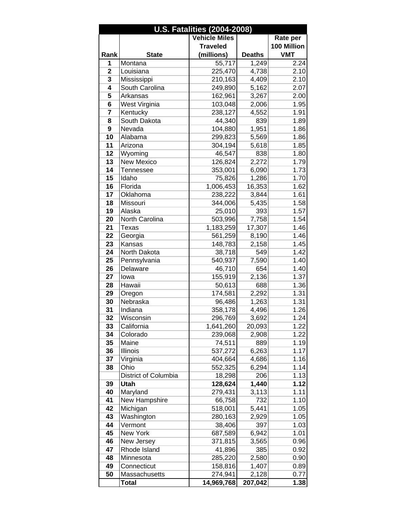| <b>U.S. Fatalities (2004-2008)</b> |                      |                      |                |              |
|------------------------------------|----------------------|----------------------|----------------|--------------|
|                                    |                      | <b>Vehicle Miles</b> |                | Rate per     |
|                                    |                      | <b>Traveled</b>      |                | 100 Million  |
| Rank                               | <b>State</b>         | (millions)           | <b>Deaths</b>  | <b>VMT</b>   |
| 1                                  | Montana              | 55,717               | 1,249          | 2.24         |
| $\overline{2}$                     | Louisiana            | 225,470              | 4,738          | 2.10         |
| $\overline{\mathbf{3}}$            | Mississippi          | 210,163              | 4,409          | 2.10         |
| $\overline{4}$                     | South Carolina       | 249,890              | 5,162          | 2.07         |
| 5                                  | Arkansas             | 162,961              | 3,267          | 2.00         |
| 6                                  | West Virginia        | 103,048              | 2,006          | 1.95         |
| 7                                  | Kentucky             | 238,127              | 4,552          | 1.91         |
| 8                                  | South Dakota         | 44,340               | 839            | 1.89         |
| 9                                  | Nevada               | 104,880              | 1,951          | 1.86         |
| 10                                 | Alabama              | 299,823              | 5,569          | 1.86         |
| 11                                 | Arizona              | 304,194              | 5,618          | 1.85         |
| 12                                 | Wyoming              | 46,547               | 838            | 1.80         |
| 13                                 | <b>New Mexico</b>    | 126,824              | 2,272          | 1.79         |
| 14                                 | Tennessee            | 353,001              | 6,090          | 1.73         |
| 15                                 | Idaho                | 75,826               | 1,286          | 1.70         |
| 16                                 | Florida              | 1,006,453            | 16,353         | 1.62         |
| 17                                 | Oklahoma             | 238,222              | 3,844          | 1.61         |
| $\overline{18}$                    | Missouri             | 344,006              | 5,435          | 1.58         |
| 19                                 | Alaska               | 25,010               | 393            | 1.57         |
| 20                                 | North Carolina       | 503,996              | 7,758          | 1.54         |
| 21                                 | Texas                | 1,183,259            | 17,307         | 1.46         |
| 22                                 | Georgia              | 561,259              | 8,190          | 1.46         |
| 23                                 | Kansas               | 148,783              | 2,158          | 1.45         |
| 24                                 | North Dakota         | 38,718               | 549            | 1.42         |
| 25                                 | Pennsylvania         | 540,937              | 7,590          | 1.40         |
| 26                                 | Delaware             | 46,710               | 654            | 1.40         |
| 27                                 | lowa                 | 155,919              | 2,136          | 1.37         |
| 28                                 | Hawaii               | 50,613               | 688            | 1.36         |
| 29                                 | Oregon               | 174,581              | 2,292          | 1.31         |
| 30                                 | Nebraska             | 96,486               | 1,263          | 1.31         |
| 31                                 | Indiana              | 358,178              | 4,496          | 1.26         |
| 32                                 | Wisconsin            | 296,769              | 3,692          | 1.24         |
| 33                                 | California           | 1,641,260            | 20,093         | 1.22         |
| 34                                 | Colorado             | 239,068              | 2,908          | 1.22         |
| 35                                 | Maine                | 74,511               | 889            | 1.19         |
| 36<br>37                           | Illinois             | 537,272              | 6,263          | 1.17         |
| 38                                 | Virginia<br>Ohio     | 404,664<br>552,325   | 4,686<br>6,294 | 1.16<br>1.14 |
|                                    | District of Columbia | 18,298               | 206            |              |
| 39                                 | <b>Utah</b>          | 128,624              | 1,440          | 1.13<br>1.12 |
| 40                                 | Maryland             | 279,431              | 3,113          | 1.11         |
| 41                                 | New Hampshire        | 66,758               | 732            | 1.10         |
| 42                                 | Michigan             | 518,001              | 5,441          | 1.05         |
| 43                                 | Washington           | 280,163              | 2,929          | 1.05         |
| 44                                 | Vermont              | 38,406               | 397            | 1.03         |
| 45                                 | New York             | 687,589              | 6,942          | 1.01         |
| 46                                 | New Jersey           | 371,815              | 3,565          | 0.96         |
| 47                                 | Rhode Island         | 41,896               | 385            | 0.92         |
| 48                                 | Minnesota            | 285,220              | 2,580          | 0.90         |
| 49                                 | Connecticut          | 158,816              | 1,407          | 0.89         |
| 50                                 | Massachusetts        | 274,941              | 2,128          | 0.77         |
|                                    | Total                | 14,969,768           | 207,042        | 1.38         |